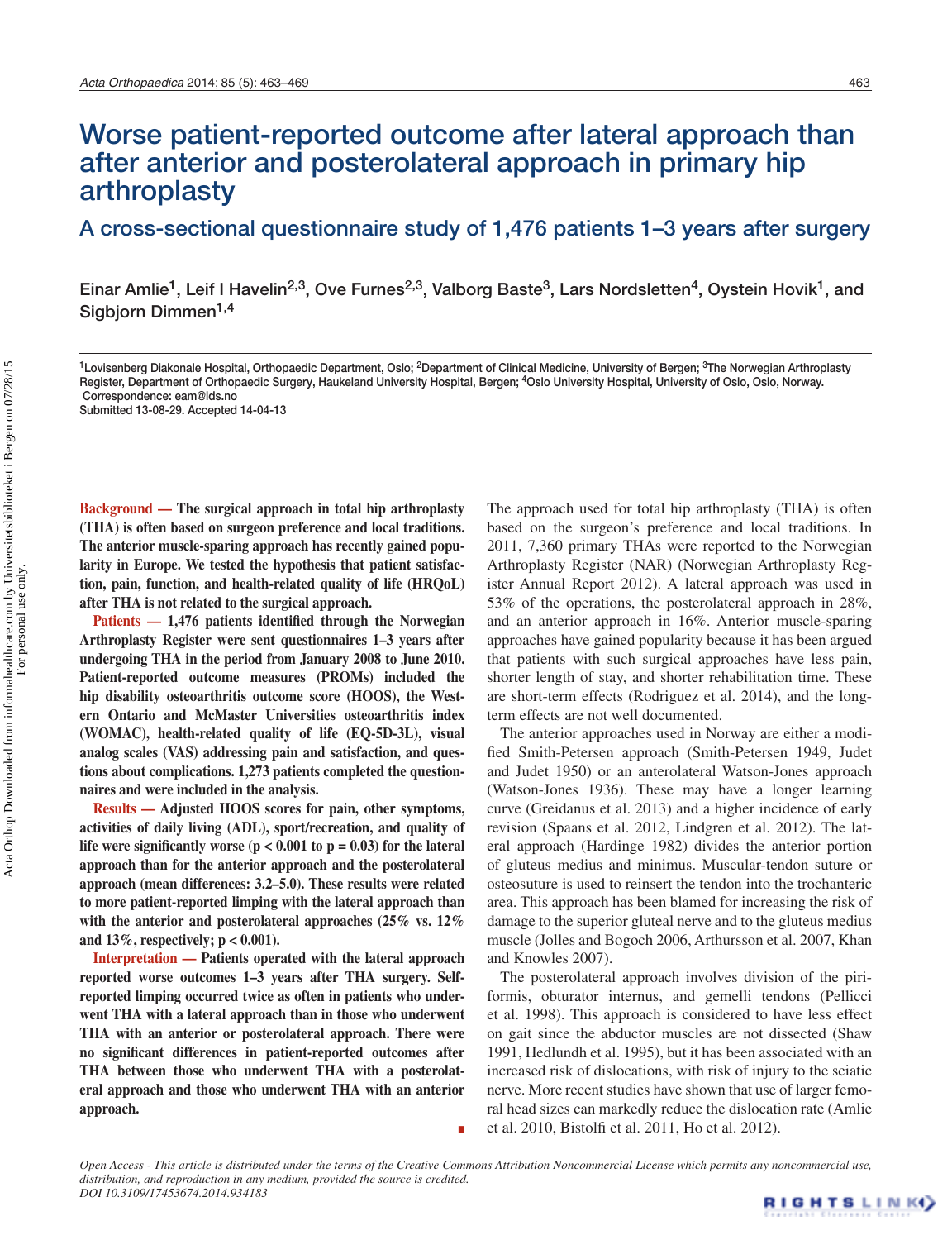# Worse patient-reported outcome after lateral approach than after anterior and posterolateral approach in primary hip arthroplasty

A cross-sectional questionnaire study of 1,476 patients 1–3 years after surgery

Einar Amlie<sup>1</sup>, Leif I Havelin<sup>2,3</sup>, Ove Furnes<sup>2,3</sup>, Valborg Baste<sup>3</sup>, Lars Nordsletten<sup>4</sup>, Oystein Hovik<sup>1</sup>, and Sigbjorn Dimmen<sup>1,4</sup>

<sup>1</sup>Lovisenberg Diakonale Hospital, Orthopaedic Department, Oslo; <sup>2</sup>Department of Clinical Medicine, University of Bergen; <sup>3</sup>The Norwegian Arthroplasty Register, Department of Orthopaedic Surgery, Haukeland University Hospital, Bergen; <sup>4</sup>Oslo University Hospital, University of Oslo, Oslo, Norway. Correspondence: eam@lds.no

Submitted 13-08-29. Accepted 14-04-13

**Background — The surgical approach in total hip arthroplasty (THA) is often based on surgeon preference and local traditions. The anterior muscle-sparing approach has recently gained popularity in Europe. We tested the hypothesis that patient satisfaction, pain, function, and health-related quality of life (HRQoL) after THA is not related to the surgical approach.**

**Patients — 1,476 patients identified through the Norwegian Arthroplasty Register were sent questionnaires 1–3 years after undergoing THA in the period from January 2008 to June 2010. Patient-reported outcome measures (PROMs) included the hip disability osteoarthritis outcome score (HOOS), the Western Ontario and McMaster Universities osteoarthritis index (WOMAC), health-related quality of life (EQ-5D-3L), visual analog scales (VAS) addressing pain and satisfaction, and questions about complications. 1,273 patients completed the questionnaires and were included in the analysis.**

**Results — Adjusted HOOS scores for pain, other symptoms, activities of daily living (ADL), sport/recreation, and quality of**  life were significantly worse  $(p < 0.001$  to  $p = 0.03$  for the lateral **approach than for the anterior approach and the posterolateral approach (mean differences: 3.2–5.0). These results were related to more patient-reported limping with the lateral approach than with the anterior and posterolateral approaches (25% vs. 12% and 13%, respectively; p < 0.001).**

**Interpretation — Patients operated with the lateral approach reported worse outcomes 1–3 years after THA surgery. Selfreported limping occurred twice as often in patients who underwent THA with a lateral approach than in those who underwent THA with an anterior or posterolateral approach. There were no significant differences in patient-reported outcomes after THA between those who underwent THA with a posterolateral approach and those who underwent THA with an anterior approach.**

The approach used for total hip arthroplasty (THA) is often based on the surgeon's preference and local traditions. In 2011, 7,360 primary THAs were reported to the Norwegian Arthroplasty Register (NAR) (Norwegian Arthroplasty Register Annual Report 2012). A lateral approach was used in 53% of the operations, the posterolateral approach in 28%, and an anterior approach in 16%. Anterior muscle-sparing approaches have gained popularity because it has been argued that patients with such surgical approaches have less pain, shorter length of stay, and shorter rehabilitation time. These are short-term effects (Rodriguez et al. 2014), and the longterm effects are not well documented.

The anterior approaches used in Norway are either a modified Smith-Petersen approach (Smith-Petersen 1949, Judet and Judet 1950) or an anterolateral Watson-Jones approach (Watson-Jones 1936). These may have a longer learning curve (Greidanus et al. 2013) and a higher incidence of early revision (Spaans et al. 2012, Lindgren et al. 2012). The lateral approach (Hardinge 1982) divides the anterior portion of gluteus medius and minimus. Muscular-tendon suture or osteosuture is used to reinsert the tendon into the trochanteric area. This approach has been blamed for increasing the risk of damage to the superior gluteal nerve and to the gluteus medius muscle (Jolles and Bogoch 2006, Arthursson et al. 2007, Khan and Knowles 2007).

The posterolateral approach involves division of the piriformis, obturator internus, and gemelli tendons (Pellicci et al. 1998). This approach is considered to have less effect on gait since the abductor muscles are not dissected (Shaw 1991, Hedlundh et al. 1995), but it has been associated with an increased risk of dislocations, with risk of injury to the sciatic nerve. More recent studies have shown that use of larger femoral head sizes can markedly reduce the dislocation rate (Amlie et al. 2010, Bistolfi et al. 2011, Ho et al. 2012).

*Open Access - This article is distributed under the terms of the Creative Commons Attribution Noncommercial License which permits any noncommercial use, distribution, and reproduction in any medium, provided the source is credited. DOI 10.3109/17453674.2014.934183* RIGHTS LINKO

E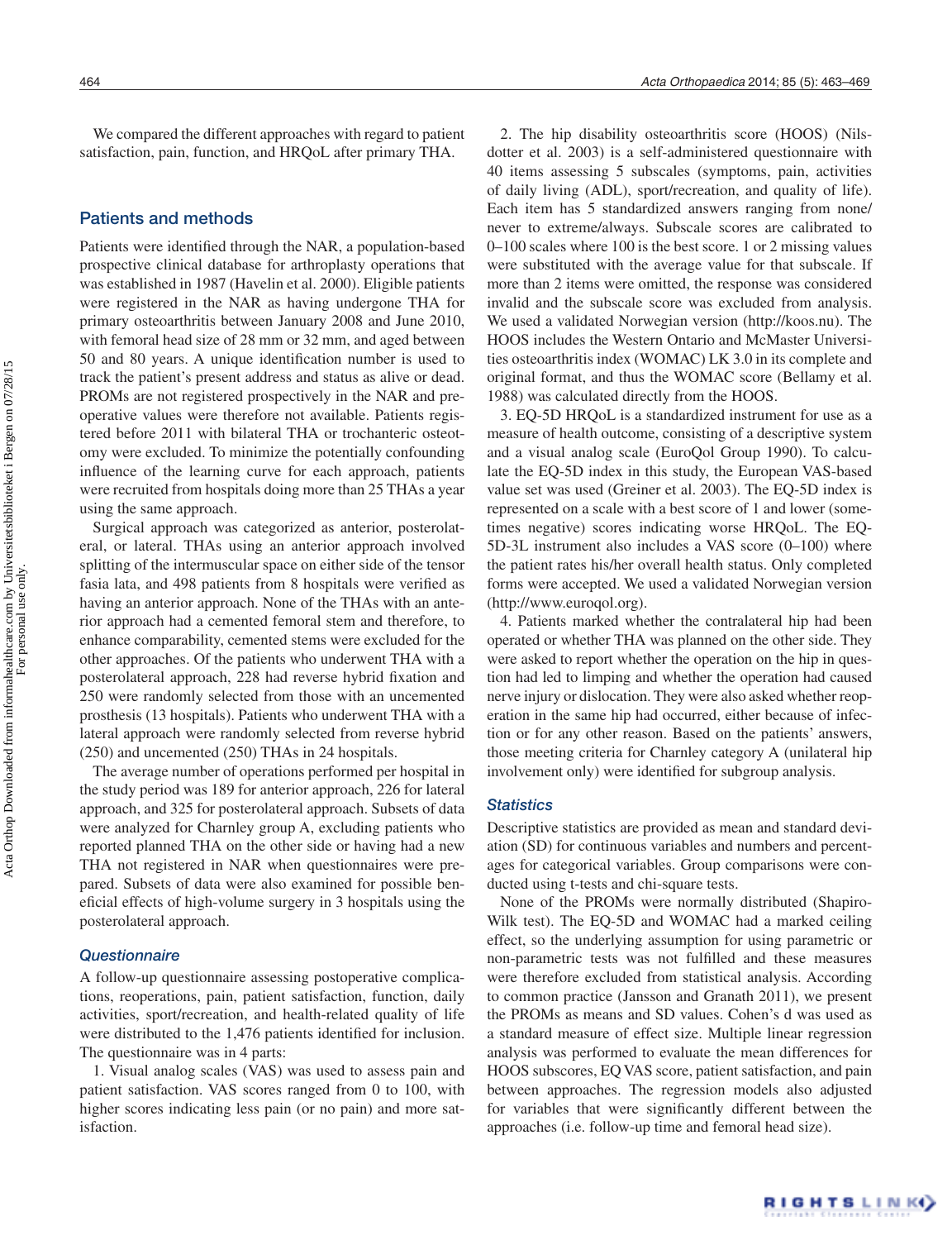# Patients and methods

Patients were identified through the NAR, a population-based prospective clinical database for arthroplasty operations that was established in 1987 (Havelin et al. 2000). Eligible patients were registered in the NAR as having undergone THA for primary osteoarthritis between January 2008 and June 2010, with femoral head size of 28 mm or 32 mm, and aged between 50 and 80 years. A unique identification number is used to track the patient's present address and status as alive or dead. PROMs are not registered prospectively in the NAR and preoperative values were therefore not available. Patients registered before 2011 with bilateral THA or trochanteric osteotomy were excluded. To minimize the potentially confounding influence of the learning curve for each approach, patients were recruited from hospitals doing more than 25 THAs a year using the same approach.

Surgical approach was categorized as anterior, posterolateral, or lateral. THAs using an anterior approach involved splitting of the intermuscular space on either side of the tensor fasia lata, and 498 patients from 8 hospitals were verified as having an anterior approach. None of the THAs with an anterior approach had a cemented femoral stem and therefore, to enhance comparability, cemented stems were excluded for the other approaches. Of the patients who underwent THA with a posterolateral approach, 228 had reverse hybrid fixation and 250 were randomly selected from those with an uncemented prosthesis (13 hospitals). Patients who underwent THA with a lateral approach were randomly selected from reverse hybrid (250) and uncemented (250) THAs in 24 hospitals.

The average number of operations performed per hospital in the study period was 189 for anterior approach, 226 for lateral approach, and 325 for posterolateral approach. Subsets of data were analyzed for Charnley group A, excluding patients who reported planned THA on the other side or having had a new THA not registered in NAR when questionnaires were prepared. Subsets of data were also examined for possible beneficial effects of high-volume surgery in 3 hospitals using the posterolateral approach.

#### *Questionnaire*

A follow-up questionnaire assessing postoperative complications, reoperations, pain, patient satisfaction, function, daily activities, sport/recreation, and health-related quality of life were distributed to the 1,476 patients identified for inclusion. The questionnaire was in 4 parts:

1. Visual analog scales (VAS) was used to assess pain and patient satisfaction. VAS scores ranged from 0 to 100, with higher scores indicating less pain (or no pain) and more satisfaction.

2. The hip disability osteoarthritis score (HOOS) (Nilsdotter et al. 2003) is a self-administered questionnaire with 40 items assessing 5 subscales (symptoms, pain, activities of daily living (ADL), sport/recreation, and quality of life). Each item has 5 standardized answers ranging from none/ never to extreme/always. Subscale scores are calibrated to 0–100 scales where 100 is the best score. 1 or 2 missing values were substituted with the average value for that subscale. If more than 2 items were omitted, the response was considered invalid and the subscale score was excluded from analysis. We used a validated Norwegian version (http://koos.nu). The HOOS includes the Western Ontario and McMaster Universities osteoarthritis index (WOMAC) LK 3.0 in its complete and original format, and thus the WOMAC score (Bellamy et al. 1988) was calculated directly from the HOOS.

3. EQ-5D HRQoL is a standardized instrument for use as a measure of health outcome, consisting of a descriptive system and a visual analog scale (EuroQol Group 1990). To calculate the EQ-5D index in this study, the European VAS-based value set was used (Greiner et al. 2003). The EQ-5D index is represented on a scale with a best score of 1 and lower (sometimes negative) scores indicating worse HRQoL. The EQ-5D-3L instrument also includes a VAS score (0–100) where the patient rates his/her overall health status. Only completed forms were accepted. We used a validated Norwegian version (http://www.euroqol.org).

4. Patients marked whether the contralateral hip had been operated or whether THA was planned on the other side. They were asked to report whether the operation on the hip in question had led to limping and whether the operation had caused nerve injury or dislocation. They were also asked whether reoperation in the same hip had occurred, either because of infection or for any other reason. Based on the patients' answers, those meeting criteria for Charnley category A (unilateral hip involvement only) were identified for subgroup analysis.

#### *Statistics*

Descriptive statistics are provided as mean and standard deviation (SD) for continuous variables and numbers and percentages for categorical variables. Group comparisons were conducted using t-tests and chi-square tests.

None of the PROMs were normally distributed (Shapiro-Wilk test). The EQ-5D and WOMAC had a marked ceiling effect, so the underlying assumption for using parametric or non-parametric tests was not fulfilled and these measures were therefore excluded from statistical analysis. According to common practice (Jansson and Granath 2011), we present the PROMs as means and SD values. Cohen's d was used as a standard measure of effect size. Multiple linear regression analysis was performed to evaluate the mean differences for HOOS subscores, EQ VAS score, patient satisfaction, and pain between approaches. The regression models also adjusted for variables that were significantly different between the approaches (i.e. follow-up time and femoral head size).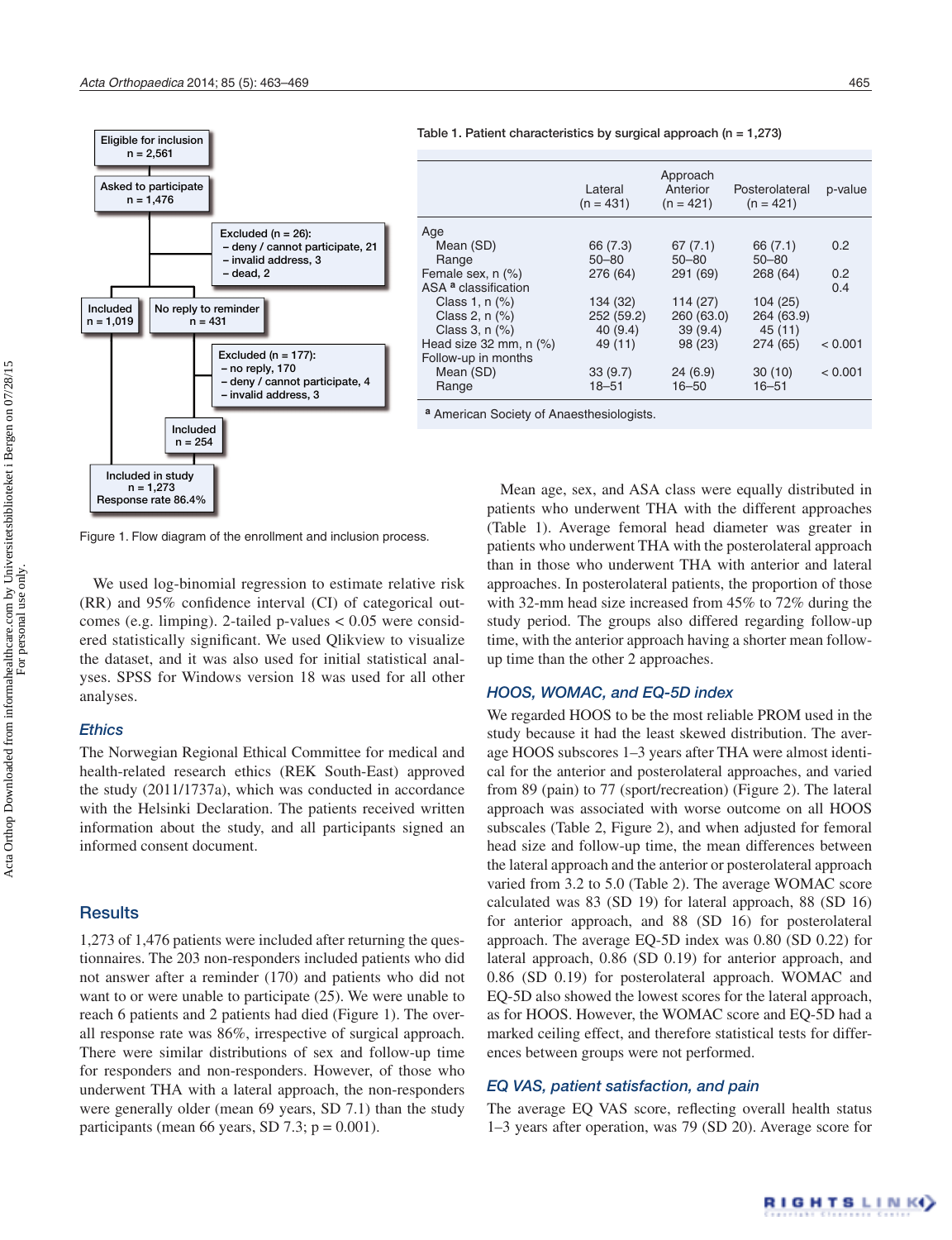

Table 1. Patient characteristics by surgical approach ( $n = 1,273$ )

|                                 | Lateral<br>$(n = 431)$ | Approach<br>Anterior<br>$(n = 421)$ | Posterolateral<br>$(n = 421)$ | p-value       |
|---------------------------------|------------------------|-------------------------------------|-------------------------------|---------------|
| Age                             |                        |                                     |                               |               |
| Mean (SD)                       | 66 (7.3)               | 67(7.1)                             | 66 (7.1)                      | 0.2           |
| Range                           | $50 - 80$              | $50 - 80$                           | 50 - 80                       |               |
| Female sex, n (%)               | 276 (64)               | 291(69)                             | 268(64)                       | $0.2^{\circ}$ |
| ASA <sup>a</sup> classification |                        |                                     |                               | 0.4           |
| Class 1, $n$ $%$                | 134 (32)               | 114(27)                             | 104(25)                       |               |
| Class 2, n (%)                  | 252 (59.2)             | 260 (63.0)                          | 264 (63.9)                    |               |
| Class 3, n (%)                  | 40(9.4)                | 39(9.4)                             | 45(11)                        |               |
| Head size $32$ mm, n $(\%)$     | 49 (11)                | 98 (23)                             | 274 (65)                      | < 0.001       |
| Follow-up in months             |                        |                                     |                               |               |
| Mean (SD)                       | 33(9.7)                | 24(6.9)                             | 30(10)                        | < 0.001       |
| Range                           | $18 - 51$              | $16 - 50$                           | $16 - 51$                     |               |

**<sup>a</sup>** American Society of Anaesthesiologists.

Figure 1. Flow diagram of the enrollment and inclusion process.

We used log-binomial regression to estimate relative risk (RR) and 95% confidence interval (CI) of categorical outcomes (e.g. limping). 2-tailed p-values < 0.05 were considered statistically significant. We used Qlikview to visualize the dataset, and it was also used for initial statistical analyses. SPSS for Windows version 18 was used for all other analyses.

#### *Ethics*

The Norwegian Regional Ethical Committee for medical and health-related research ethics (REK South-East) approved the study (2011/1737a), which was conducted in accordance with the Helsinki Declaration. The patients received written information about the study, and all participants signed an informed consent document.

## **Results**

1,273 of 1,476 patients were included after returning the questionnaires. The 203 non-responders included patients who did not answer after a reminder (170) and patients who did not want to or were unable to participate (25). We were unable to reach 6 patients and 2 patients had died (Figure 1). The overall response rate was 86%, irrespective of surgical approach. There were similar distributions of sex and follow-up time for responders and non-responders. However, of those who underwent THA with a lateral approach, the non-responders were generally older (mean 69 years, SD 7.1) than the study participants (mean 66 years, SD 7.3;  $p = 0.001$ ).

Mean age, sex, and ASA class were equally distributed in patients who underwent THA with the different approaches (Table 1). Average femoral head diameter was greater in patients who underwent THA with the posterolateral approach than in those who underwent THA with anterior and lateral approaches. In posterolateral patients, the proportion of those with 32-mm head size increased from 45% to 72% during the study period. The groups also differed regarding follow-up time, with the anterior approach having a shorter mean followup time than the other 2 approaches.

## *HOOS, WOMAC, and EQ-5D index*

We regarded HOOS to be the most reliable PROM used in the study because it had the least skewed distribution. The average HOOS subscores 1–3 years after THA were almost identical for the anterior and posterolateral approaches, and varied from 89 (pain) to 77 (sport/recreation) (Figure 2). The lateral approach was associated with worse outcome on all HOOS subscales (Table 2, Figure 2), and when adjusted for femoral head size and follow-up time, the mean differences between the lateral approach and the anterior or posterolateral approach varied from 3.2 to 5.0 (Table 2). The average WOMAC score calculated was 83 (SD 19) for lateral approach, 88 (SD 16) for anterior approach, and 88 (SD 16) for posterolateral approach. The average EQ-5D index was 0.80 (SD 0.22) for lateral approach, 0.86 (SD 0.19) for anterior approach, and 0.86 (SD 0.19) for posterolateral approach. WOMAC and EQ-5D also showed the lowest scores for the lateral approach, as for HOOS. However, the WOMAC score and EQ-5D had a marked ceiling effect, and therefore statistical tests for differences between groups were not performed.

# *EQ VAS, patient satisfaction, and pain*

The average EQ VAS score, reflecting overall health status 1–3 years after operation, was 79 (SD 20). Average score for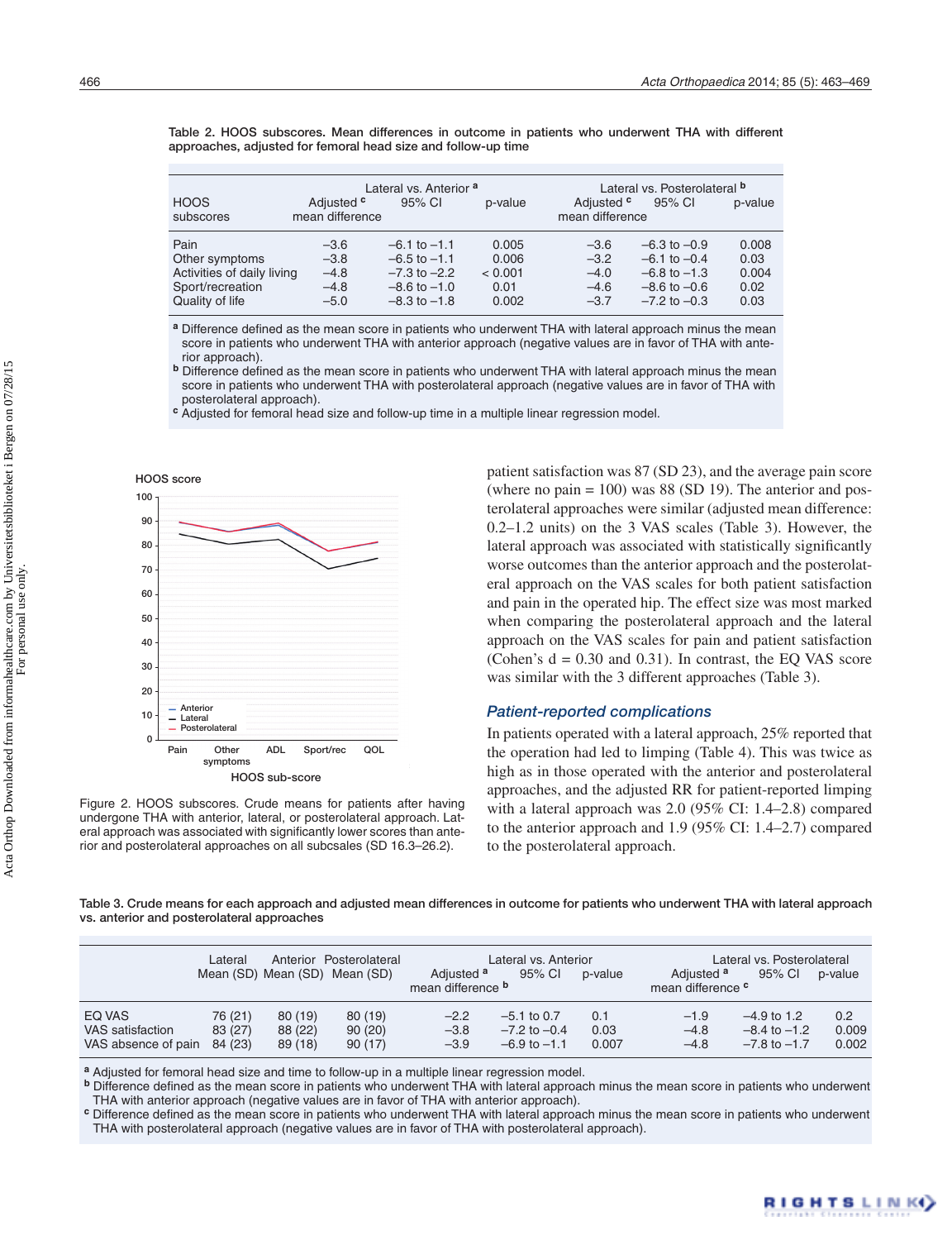|                            |                                          | Lateral vs. Anterior <sup>a</sup> |         | Lateral vs. Posterolateral <b>b</b>      |                  |         |  |
|----------------------------|------------------------------------------|-----------------------------------|---------|------------------------------------------|------------------|---------|--|
| <b>HOOS</b><br>subscores   | Adjusted <sup>c</sup><br>mean difference | 95% CI                            | p-value | Adjusted <sup>c</sup><br>mean difference | 95% CI           | p-value |  |
|                            |                                          |                                   |         |                                          |                  |         |  |
| Pain                       | $-3.6$                                   | $-6.1$ to $-1.1$                  | 0.005   | $-3.6$                                   | $-6.3$ to $-0.9$ | 0.008   |  |
| Other symptoms             | $-3.8$                                   | $-6.5$ to $-1.1$                  | 0.006   | $-3.2$                                   | $-6.1$ to $-0.4$ | 0.03    |  |
| Activities of daily living | $-4.8$                                   | $-7.3$ to $-2.2$                  | < 0.001 | $-4.0$                                   | $-6.8$ to $-1.3$ | 0.004   |  |
| Sport/recreation           | $-4.8$                                   | $-8.6$ to $-1.0$                  | 0.01    | $-4.6$                                   | $-8.6$ to $-0.6$ | 0.02    |  |
| Quality of life            | $-5.0$                                   | $-8.3$ to $-1.8$                  | 0.002   | $-3.7$                                   | $-7.2$ to $-0.3$ | 0.03    |  |

Table 2. HOOS subscores. Mean differences in outcome in patients who underwent THA with different approaches, adjusted for femoral head size and follow-up time

**<sup>a</sup>** Difference defined as the mean score in patients who underwent THA with lateral approach minus the mean score in patients who underwent THA with anterior approach (negative values are in favor of THA with anterior approach).

**b** Difference defined as the mean score in patients who underwent THA with lateral approach minus the mean score in patients who underwent THA with posterolateral approach (negative values are in favor of THA with posterolateral approach).

**<sup>c</sup>** Adjusted for femoral head size and follow-up time in a multiple linear regression model.



Figure 2. HOOS subscores. Crude means for patients after having undergone THA with anterior, lateral, or posterolateral approach. Lateral approach was associated with significantly lower scores than anterior and posterolateral approaches on all subcsales (SD 16.3–26.2).

patient satisfaction was 87 (SD 23), and the average pain score (where no pain  $= 100$ ) was 88 (SD 19). The anterior and posterolateral approaches were similar (adjusted mean difference: 0.2–1.2 units) on the 3 VAS scales (Table 3). However, the lateral approach was associated with statistically significantly worse outcomes than the anterior approach and the posterolateral approach on the VAS scales for both patient satisfaction and pain in the operated hip. The effect size was most marked when comparing the posterolateral approach and the lateral approach on the VAS scales for pain and patient satisfaction (Cohen's  $d = 0.30$  and 0.31). In contrast, the EQ VAS score was similar with the 3 different approaches (Table 3).

#### *Patient-reported complications*

In patients operated with a lateral approach, 25% reported that the operation had led to limping (Table 4). This was twice as high as in those operated with the anterior and posterolateral approaches, and the adjusted RR for patient-reported limping with a lateral approach was 2.0 (95% CI: 1.4–2.8) compared to the anterior approach and 1.9 (95% CI: 1.4–2.7) compared to the posterolateral approach.

Table 3. Crude means for each approach and adjusted mean differences in outcome for patients who underwent THA with lateral approach vs. anterior and posterolateral approaches

|                                                           | Lateral            |                               | Anterior Posterolateral<br>Mean (SD) Mean (SD) Mean (SD) | Adjusted <sup>a</sup><br>mean difference <b>b</b> | Lateral vs. Anterior<br>95% CI                        | p-value              | Adjusted <sup>a</sup><br>mean difference <sup>c</sup> | Lateral vs. Posterolateral<br>95% CI                  | p-value               |
|-----------------------------------------------------------|--------------------|-------------------------------|----------------------------------------------------------|---------------------------------------------------|-------------------------------------------------------|----------------------|-------------------------------------------------------|-------------------------------------------------------|-----------------------|
| EQ VAS<br>VAS satisfaction<br>VAS absence of pain 84 (23) | 76 (21)<br>83 (27) | 80 (19)<br>88 (22)<br>89 (18) | 80 (19)<br>90(20)<br>90(17)                              | $-2.2$<br>$-3.8$<br>$-3.9$                        | $-5.1$ to 0.7<br>$-7.2$ to $-0.4$<br>$-6.9$ to $-1.1$ | 0.1<br>0.03<br>0.007 | $-1.9$<br>$-4.8$<br>$-4.8$                            | $-4.9$ to 1.2<br>$-8.4$ to $-1.2$<br>$-7.8$ to $-1.7$ | 0.2<br>0.009<br>0.002 |

**<sup>a</sup>** Adjusted for femoral head size and time to follow-up in a multiple linear regression model.

**<sup>b</sup>** Difference defined as the mean score in patients who underwent THA with lateral approach minus the mean score in patients who underwent THA with anterior approach (negative values are in favor of THA with anterior approach).

**<sup>c</sup>** Difference defined as the mean score in patients who underwent THA with lateral approach minus the mean score in patients who underwent THA with posterolateral approach (negative values are in favor of THA with posterolateral approach).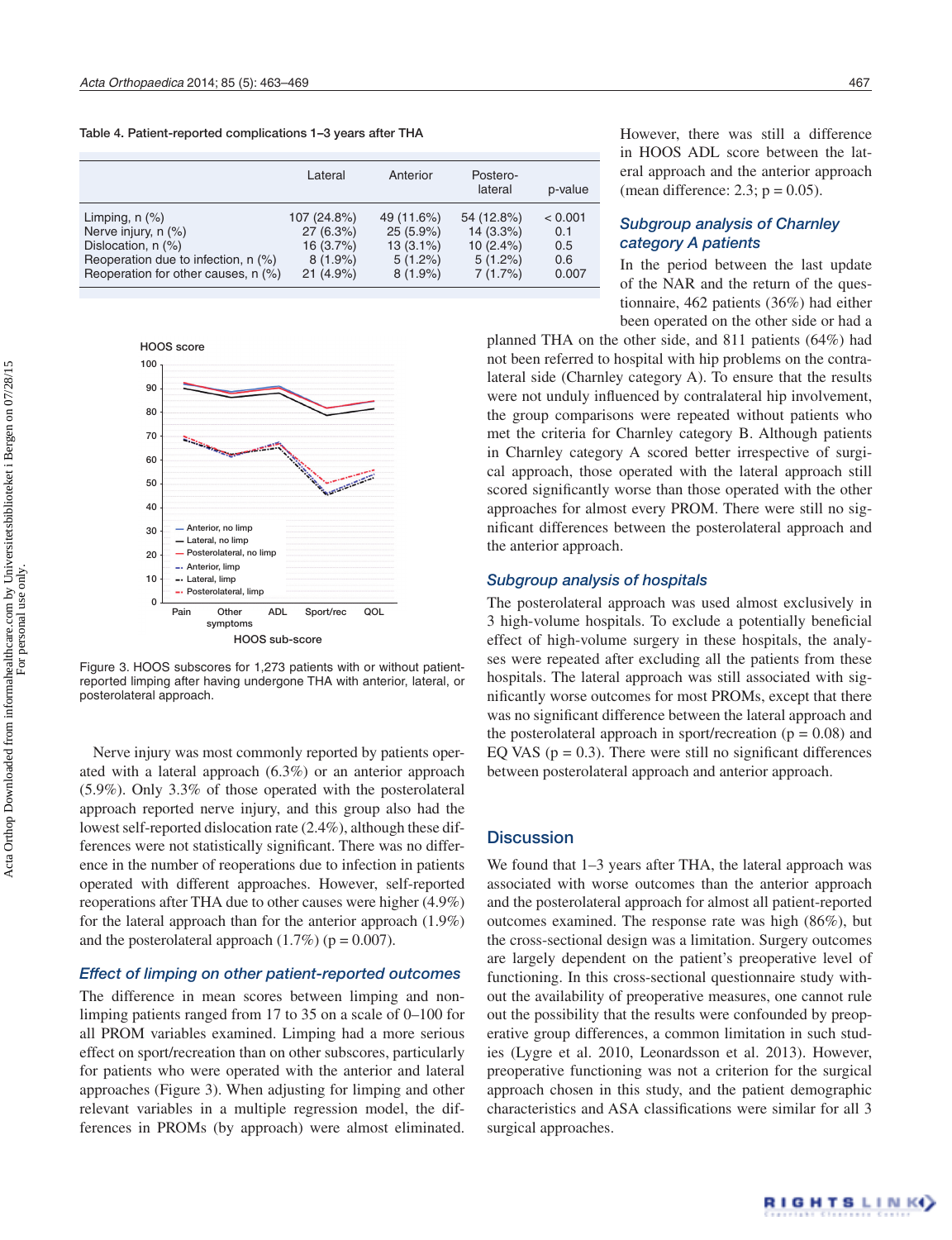Table 4. Patient-reported complications 1–3 years after THA

|                                                                                                                                                | Lateral                                                           | Anterior                                                             | Postero-<br>lateral                                               | p-value                               |
|------------------------------------------------------------------------------------------------------------------------------------------------|-------------------------------------------------------------------|----------------------------------------------------------------------|-------------------------------------------------------------------|---------------------------------------|
| Limping, $n$ $(\%)$<br>Nerve injury, n (%)<br>Dislocation, n (%)<br>Reoperation due to infection, n (%)<br>Reoperation for other causes, n (%) | 107 (24.8%)<br>27(6.3%)<br>16 (3.7%)<br>$8(1.9\%)$<br>$21(4.9\%)$ | 49 (11.6%)<br>$25(5.9\%)$<br>$13(3.1\%)$<br>$5(1.2\%)$<br>$8(1.9\%)$ | 54 (12.8%)<br>$14(3.3\%)$<br>$10(2.4\%)$<br>$5(1.2\%)$<br>7(1.7%) | < 0.001<br>0.1<br>0.5<br>0.6<br>0.007 |



Figure 3. HOOS subscores for 1,273 patients with or without patientreported limping after having undergone THA with anterior, lateral, or posterolateral approach.

Nerve injury was most commonly reported by patients operated with a lateral approach (6.3%) or an anterior approach (5.9%). Only 3.3% of those operated with the posterolateral approach reported nerve injury, and this group also had the lowest self-reported dislocation rate (2.4%), although these differences were not statistically significant. There was no difference in the number of reoperations due to infection in patients operated with different approaches. However, self-reported reoperations after THA due to other causes were higher (4.9%) for the lateral approach than for the anterior approach (1.9%) and the posterolateral approach  $(1.7\%)$  ( $p = 0.007$ ).

### *Effect of limping on other patient-reported outcomes*

The difference in mean scores between limping and nonlimping patients ranged from 17 to 35 on a scale of 0–100 for all PROM variables examined. Limping had a more serious effect on sport/recreation than on other subscores, particularly for patients who were operated with the anterior and lateral approaches (Figure 3). When adjusting for limping and other relevant variables in a multiple regression model, the differences in PROMs (by approach) were almost eliminated.

However, there was still a difference in HOOS ADL score between the lateral approach and the anterior approach (mean difference: 2.3;  $p = 0.05$ ).

# *Subgroup analysis of Charnley category A patients*

In the period between the last update of the NAR and the return of the questionnaire, 462 patients (36%) had either been operated on the other side or had a

planned THA on the other side, and 811 patients (64%) had not been referred to hospital with hip problems on the contralateral side (Charnley category A). To ensure that the results were not unduly influenced by contralateral hip involvement, the group comparisons were repeated without patients who met the criteria for Charnley category B. Although patients in Charnley category A scored better irrespective of surgical approach, those operated with the lateral approach still scored significantly worse than those operated with the other approaches for almost every PROM. There were still no significant differences between the posterolateral approach and the anterior approach.

## *Subgroup analysis of hospitals*

The posterolateral approach was used almost exclusively in 3 high-volume hospitals. To exclude a potentially beneficial effect of high-volume surgery in these hospitals, the analyses were repeated after excluding all the patients from these hospitals. The lateral approach was still associated with significantly worse outcomes for most PROMs, except that there was no significant difference between the lateral approach and the posterolateral approach in sport/recreation ( $p = 0.08$ ) and EQ VAS ( $p = 0.3$ ). There were still no significant differences between posterolateral approach and anterior approach.

## **Discussion**

We found that  $1-3$  years after THA, the lateral approach was associated with worse outcomes than the anterior approach and the posterolateral approach for almost all patient-reported outcomes examined. The response rate was high (86%), but the cross-sectional design was a limitation. Surgery outcomes are largely dependent on the patient's preoperative level of functioning. In this cross-sectional questionnaire study without the availability of preoperative measures, one cannot rule out the possibility that the results were confounded by preoperative group differences, a common limitation in such studies (Lygre et al. 2010, Leonardsson et al. 2013). However, preoperative functioning was not a criterion for the surgical approach chosen in this study, and the patient demographic characteristics and ASA classifications were similar for all 3 surgical approaches.

For personal use only.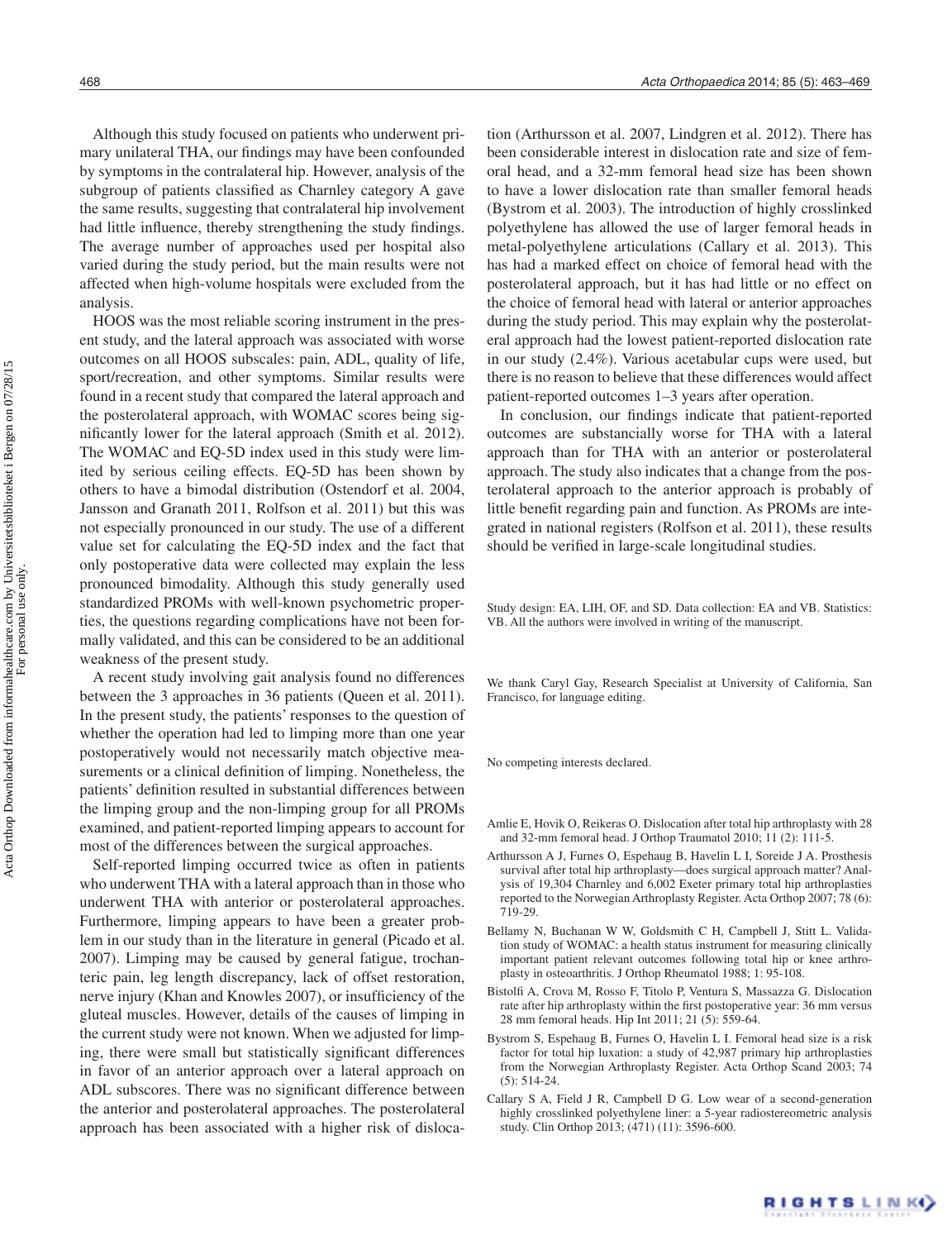Although this study focused on patients who underwent primary unilateral THA, our findings may have been confounded by symptoms in the contralateral hip. However, analysis of the subgroup of patients classified as Charnley category A gave the same results, suggesting that contralateral hip involvement had little influence, thereby strengthening the study findings. The average number of approaches used per hospital also varied during the study period, but the main results were not affected when high-volume hospitals were excluded from the analysis.

HOOS was the most reliable scoring instrument in the present study, and the lateral approach was associated with worse outcomes on all HOOS subscales: pain, ADL, quality of life, sport/recreation, and other symptoms. Similar results were found in a recent study that compared the lateral approach and the posterolateral approach, with WOMAC scores being significantly lower for the lateral approach (Smith et al. 2012). The WOMAC and EQ-5D index used in this study were limited by serious ceiling effects. EQ-5D has been shown by others to have a bimodal distribution (Ostendorf et al. 2004, Jansson and Granath 2011, Rolfson et al. 2011) but this was not especially pronounced in our study. The use of a different value set for calculating the EQ-5D index and the fact that only postoperative data were collected may explain the less pronounced bimodality. Although this study generally used standardized PROMs with well-known psychometric properties, the questions regarding complications have not been formally validated, and this can be considered to be an additional weakness of the present study.

A recent study involving gait analysis found no differences between the 3 approaches in 36 patients (Queen et al. 2011). In the present study, the patients' responses to the question of whether the operation had led to limping more than one year postoperatively would not necessarily match objective measurements or a clinical definition of limping. Nonetheless, the patients' definition resulted in substantial differences between the limping group and the non-limping group for all PROMs examined, and patient-reported limping appears to account for most of the differences between the surgical approaches.

Self-reported limping occurred twice as often in patients who underwent THA with a lateral approach than in those who underwent THA with anterior or posterolateral approaches. Furthermore, limping appears to have been a greater problem in our study than in the literature in general (Picado et al. 2007). Limping may be caused by general fatigue, trochanteric pain, leg length discrepancy, lack of offset restoration, nerve injury (Khan and Knowles 2007), or insufficiency of the gluteal muscles. However, details of the causes of limping in the current study were not known. When we adjusted for limping, there were small but statistically significant differences in favor of an anterior approach over a lateral approach on ADL subscores. There was no significant difference between the anterior and posterolateral approaches. The posterolateral approach has been associated with a higher risk of disloca-

tion (Arthursson et al. 2007, Lindgren et al. 2012). There has been considerable interest in dislocation rate and size of femoral head, and a 32-mm femoral head size has been shown to have a lower dislocation rate than smaller femoral heads (Bystrom et al. 2003). The introduction of highly crosslinked polyethylene has allowed the use of larger femoral heads in metal-polyethylene articulations (Callary et al. 2013). This has had a marked effect on choice of femoral head with the posterolateral approach, but it has had little or no effect on the choice of femoral head with lateral or anterior approaches during the study period. This may explain why the posterolateral approach had the lowest patient-reported dislocation rate in our study (2.4%). Various acetabular cups were used, but there is no reason to believe that these differences would affect patient-reported outcomes 1–3 years after operation.

In conclusion, our findings indicate that patient-reported outcomes are substancially worse for THA with a lateral approach than for THA with an anterior or posterolateral approach. The study also indicates that a change from the posterolateral approach to the anterior approach is probably of little benefit regarding pain and function. As PROMs are integrated in national registers (Rolfson et al. 2011), these results should be verified in large-scale longitudinal studies.

Study design: EA, LIH, OF, and SD. Data collection: EA and VB. Statistics: VB. All the authors were involved in writing of the manuscript.

We thank Caryl Gay, Research Specialist at University of California, San Francisco, for language editing.

No competing interests declared.

- Amlie E, Hovik O, Reikeras O. Dislocation after total hip arthroplasty with 28 and 32-mm femoral head. J Orthop Traumatol 2010; 11 (2): 111-5.
- Arthursson A J, Furnes O, Espehaug B, Havelin L I, Soreide J A. Prosthesis survival after total hip arthroplasty—does surgical approach matter? Analysis of 19,304 Charnley and 6,002 Exeter primary total hip arthroplasties reported to the Norwegian Arthroplasty Register. Acta Orthop 2007; 78 (6): 719-29.
- Bellamy N, Buchanan W W, Goldsmith C H, Campbell J, Stitt L. Validation study of WOMAC: a health status instrument for measuring clinically important patient relevant outcomes following total hip or knee arthroplasty in osteoarthritis. J Orthop Rheumatol 1988; 1: 95-108.
- Bistolfi A, Crova M, Rosso F, Titolo P, Ventura S, Massazza G. Dislocation rate after hip arthroplasty within the first postoperative year: 36 mm versus 28 mm femoral heads. Hip Int 2011; 21 (5): 559-64.
- Bystrom S, Espehaug B, Furnes O, Havelin L I. Femoral head size is a risk factor for total hip luxation: a study of 42,987 primary hip arthroplasties from the Norwegian Arthroplasty Register. Acta Orthop Scand 2003; 74 (5): 514-24.
- Callary S A, Field J R, Campbell D G. Low wear of a second-generation highly crosslinked polyethylene liner: a 5-year radiostereometric analysis study. Clin Orthop 2013; (471) (11): 3596-600.

RIGHTS LINKO